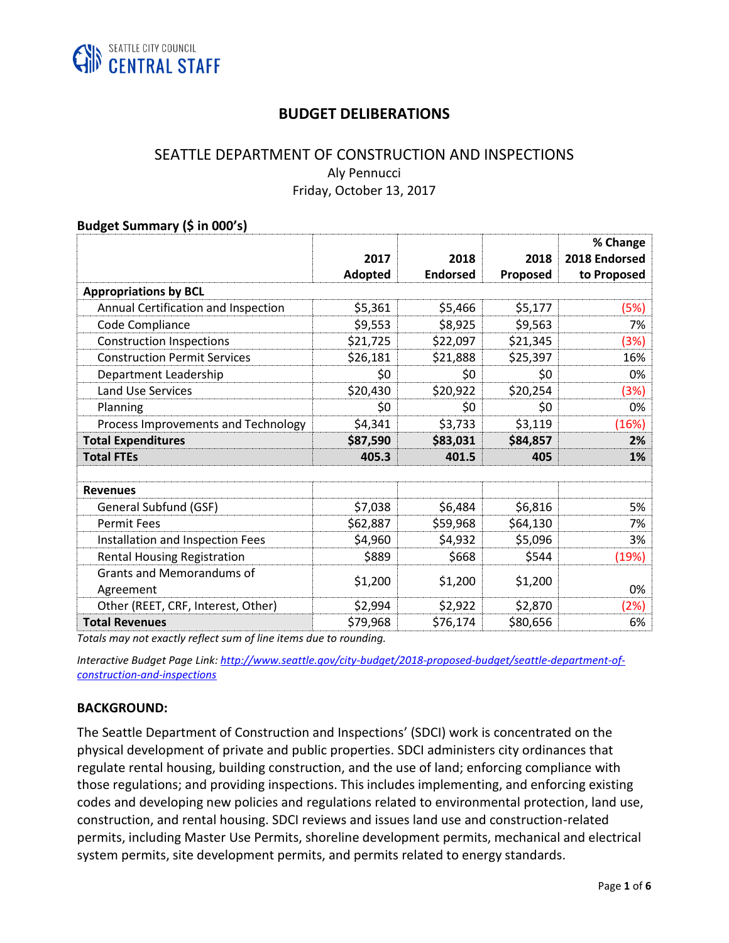

## **BUDGET DELIBERATIONS**

## SEATTLE DEPARTMENT OF CONSTRUCTION AND INSPECTIONS Aly Pennucci Friday, October 13, 2017

# **Budget Summary (\$ in 000's)**

|                                               | 2017           | 2018            | 2018     | % Change<br>2018 Endorsed |
|-----------------------------------------------|----------------|-----------------|----------|---------------------------|
|                                               | <b>Adopted</b> | <b>Endorsed</b> | Proposed | to Proposed               |
| <b>Appropriations by BCL</b>                  |                |                 |          |                           |
| Annual Certification and Inspection           | \$5,361        | \$5,466         | \$5,177  | (5%)                      |
| Code Compliance                               | \$9,553        | \$8,925         | \$9,563  | 7%                        |
| <b>Construction Inspections</b>               | \$21,725       | \$22,097        | \$21,345 | (3%)                      |
| <b>Construction Permit Services</b>           | \$26,181       | \$21,888        | \$25,397 | 16%                       |
| Department Leadership                         | \$0            | \$0             | \$0      | 0%                        |
| <b>Land Use Services</b>                      | \$20,430       | \$20,922        | \$20,254 | (3%)                      |
| Planning                                      | \$0            | \$0             | \$0      | 0%                        |
| Process Improvements and Technology           | \$4,341        | \$3,733         | \$3,119  | (16%)                     |
| <b>Total Expenditures</b>                     | \$87,590       | \$83,031        | \$84,857 | 2%                        |
| <b>Total FTEs</b>                             | 405.3          | 401.5           | 405      | 1%                        |
|                                               |                |                 |          |                           |
| <b>Revenues</b>                               |                |                 |          |                           |
| General Subfund (GSF)                         | \$7,038        | \$6,484         | \$6,816  | 5%                        |
| <b>Permit Fees</b>                            | \$62,887       | \$59,968        | \$64,130 | 7%                        |
| Installation and Inspection Fees              | \$4,960        | \$4,932         | \$5,096  | 3%                        |
| <b>Rental Housing Registration</b>            | \$889          | \$668           | \$544    | (19%)                     |
| <b>Grants and Memorandums of</b><br>Agreement | \$1,200        | \$1,200         | \$1,200  | 0%                        |
| Other (REET, CRF, Interest, Other)            | \$2,994        | \$2,922         | \$2,870  | (2%)                      |
| <b>Total Revenues</b>                         | \$79,968       | \$76,174        | \$80,656 | 6%                        |

*Totals may not exactly reflect sum of line items due to rounding.*

*Interactive Budget Page Link: [http://www.seattle.gov/city-budget/2018-proposed-budget/seattle-department-of](http://www.seattle.gov/city-budget/2018-proposed-budget/seattle-department-of-construction-and-inspections)[construction-and-inspections](http://www.seattle.gov/city-budget/2018-proposed-budget/seattle-department-of-construction-and-inspections)* 

#### **BACKGROUND:**

The Seattle Department of Construction and Inspections' (SDCI) work is concentrated on the physical development of private and public properties. SDCI administers city ordinances that regulate rental housing, building construction, and the use of land; enforcing compliance with those regulations; and providing inspections. This includes implementing, and enforcing existing codes and developing new policies and regulations related to environmental protection, land use, construction, and rental housing. SDCI reviews and issues land use and construction-related permits, including Master Use Permits, shoreline development permits, mechanical and electrical system permits, site development permits, and permits related to energy standards.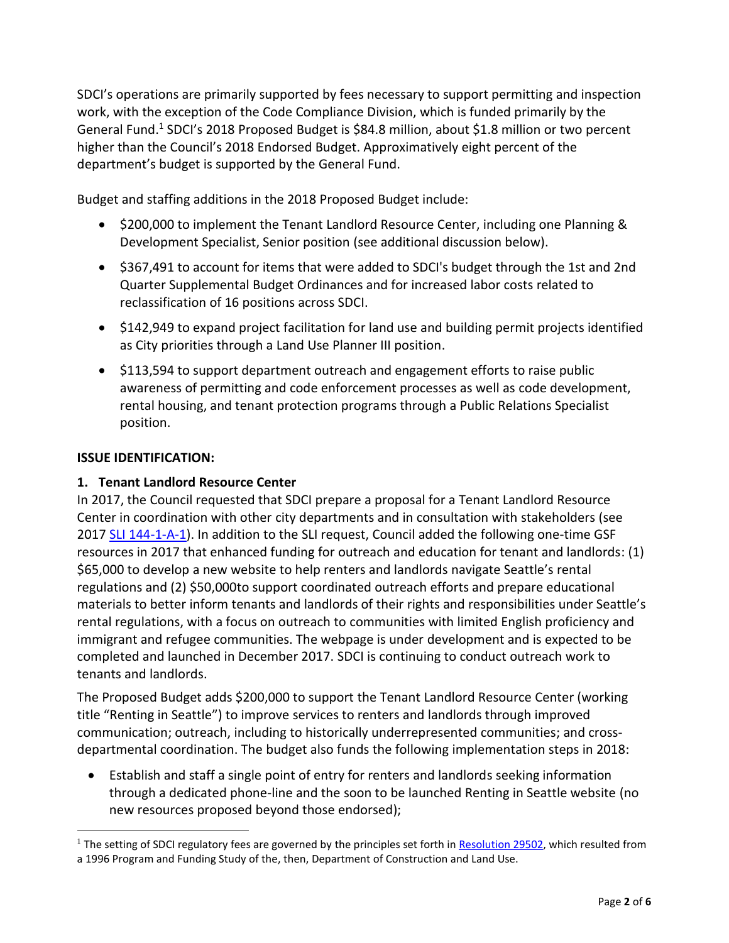SDCI's operations are primarily supported by fees necessary to support permitting and inspection work, with the exception of the Code Compliance Division, which is funded primarily by the General Fund.<sup>1</sup> SDCI's 2018 Proposed Budget is \$84.8 million, about \$1.8 million or two percent higher than the Council's 2018 Endorsed Budget. Approximatively eight percent of the department's budget is supported by the General Fund.

Budget and staffing additions in the 2018 Proposed Budget include:

- \$200,000 to implement the Tenant Landlord Resource Center, including one Planning & Development Specialist, Senior position (see additional discussion below).
- \$367,491 to account for items that were added to SDCI's budget through the 1st and 2nd Quarter Supplemental Budget Ordinances and for increased labor costs related to reclassification of 16 positions across SDCI.
- \$142,949 to expand project facilitation for land use and building permit projects identified as City priorities through a Land Use Planner III position.
- \$113,594 to support department outreach and engagement efforts to raise public awareness of permitting and code enforcement processes as well as code development, rental housing, and tenant protection programs through a Public Relations Specialist position.

## **ISSUE IDENTIFICATION:**

 $\overline{a}$ 

## **1. Tenant Landlord Resource Center**

In 2017, the Council requested that SDCI prepare a proposal for a Tenant Landlord Resource Center in coordination with other city departments and in consultation with stakeholders (see 2017 [SLI 144-1-A-1\)](http://seattle.legistar.com/LegislationDetail.aspx?ID=2930759&GUID=383C30AB-A709-4EFE-B562-6207540CB390&Options=Advanced&Search=). In addition to the SLI request, Council added the following one-time GSF resources in 2017 that enhanced funding for outreach and education for tenant and landlords: (1) \$65,000 to develop a new website to help renters and landlords navigate Seattle's rental regulations and (2) \$50,000to support coordinated outreach efforts and prepare educational materials to better inform tenants and landlords of their rights and responsibilities under Seattle's rental regulations, with a focus on outreach to communities with limited English proficiency and immigrant and refugee communities. The webpage is under development and is expected to be completed and launched in December 2017. SDCI is continuing to conduct outreach work to tenants and landlords.

The Proposed Budget adds \$200,000 to support the Tenant Landlord Resource Center (working title "Renting in Seattle") to improve services to renters and landlords through improved communication; outreach, including to historically underrepresented communities; and crossdepartmental coordination. The budget also funds the following implementation steps in 2018:

• Establish and staff a single point of entry for renters and landlords seeking information through a dedicated phone-line and the soon to be launched Renting in Seattle website (no new resources proposed beyond those endorsed);

<sup>&</sup>lt;sup>1</sup> The setting of SDCI regulatory fees are governed by the principles set forth i[n Resolution 29502,](http://clerk.ci.seattle.wa.us/~scripts/nph-brs.exe?s1=&s3=29502&s2=&s4=&Sect4=AND&l=200&Sect2=THESON&Sect3=PLURON&Sect5=RESNY&Sect6=HITOFF&d=RESF&p=1&u=%2F%7Epublic%2Fresny.htm&r=1&f=G) which resulted from a 1996 Program and Funding Study of the, then, Department of Construction and Land Use.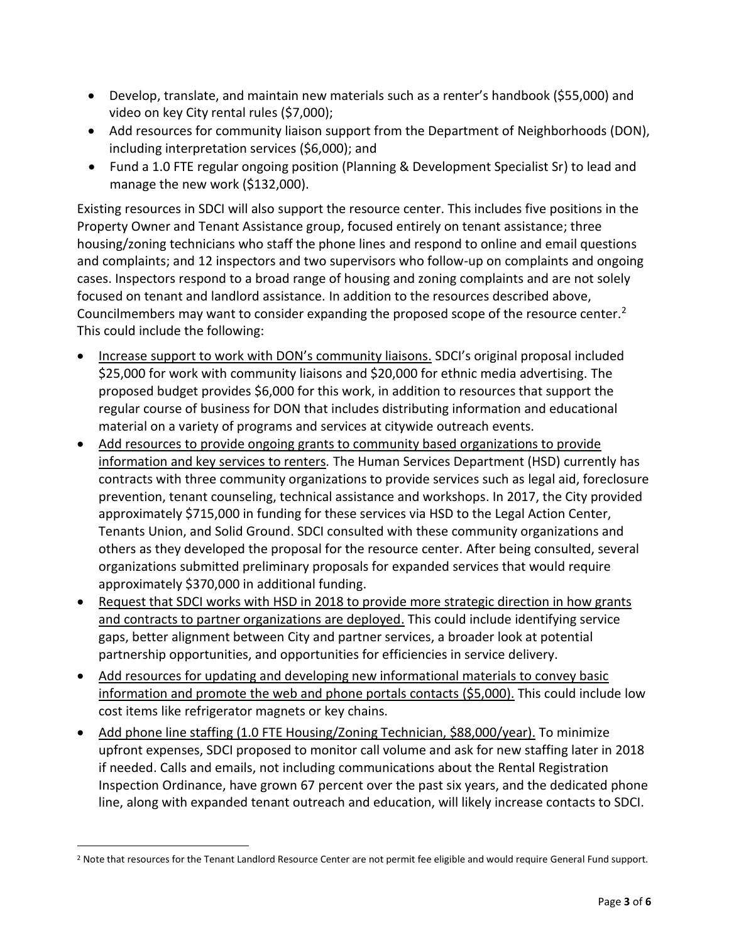- Develop, translate, and maintain new materials such as a renter's handbook (\$55,000) and video on key City rental rules (\$7,000);
- Add resources for community liaison support from the Department of Neighborhoods (DON), including interpretation services (\$6,000); and
- Fund a 1.0 FTE regular ongoing position (Planning & Development Specialist Sr) to lead and manage the new work (\$132,000).

Existing resources in SDCI will also support the resource center. This includes five positions in the Property Owner and Tenant Assistance group, focused entirely on tenant assistance; three housing/zoning technicians who staff the phone lines and respond to online and email questions and complaints; and 12 inspectors and two supervisors who follow-up on complaints and ongoing cases. Inspectors respond to a broad range of housing and zoning complaints and are not solely focused on tenant and landlord assistance. In addition to the resources described above, Councilmembers may want to consider expanding the proposed scope of the resource center.<sup>2</sup> This could include the following:

- Increase support to work with DON's community liaisons. SDCI's original proposal included \$25,000 for work with community liaisons and \$20,000 for ethnic media advertising. The proposed budget provides \$6,000 for this work, in addition to resources that support the regular course of business for DON that includes distributing information and educational material on a variety of programs and services at citywide outreach events.
- Add resources to provide ongoing grants to community based organizations to provide information and key services to renters*.* The Human Services Department (HSD) currently has contracts with three community organizations to provide services such as legal aid, foreclosure prevention, tenant counseling, technical assistance and workshops. In 2017, the City provided approximately \$715,000 in funding for these services via HSD to the Legal Action Center, Tenants Union, and Solid Ground. SDCI consulted with these community organizations and others as they developed the proposal for the resource center. After being consulted, several organizations submitted preliminary proposals for expanded services that would require approximately \$370,000 in additional funding.
- Request that SDCI works with HSD in 2018 to provide more strategic direction in how grants and contracts to partner organizations are deployed. This could include identifying service gaps, better alignment between City and partner services, a broader look at potential partnership opportunities, and opportunities for efficiencies in service delivery.
- Add resources for updating and developing new informational materials to convey basic information and promote the web and phone portals contacts (\$5,000). This could include low cost items like refrigerator magnets or key chains.
- Add phone line staffing (1.0 FTE Housing/Zoning Technician, \$88,000/year). To minimize upfront expenses, SDCI proposed to monitor call volume and ask for new staffing later in 2018 if needed. Calls and emails, not including communications about the Rental Registration Inspection Ordinance, have grown 67 percent over the past six years, and the dedicated phone line, along with expanded tenant outreach and education, will likely increase contacts to SDCI.

 $\overline{a}$ 

<sup>&</sup>lt;sup>2</sup> Note that resources for the Tenant Landlord Resource Center are not permit fee eligible and would require General Fund support.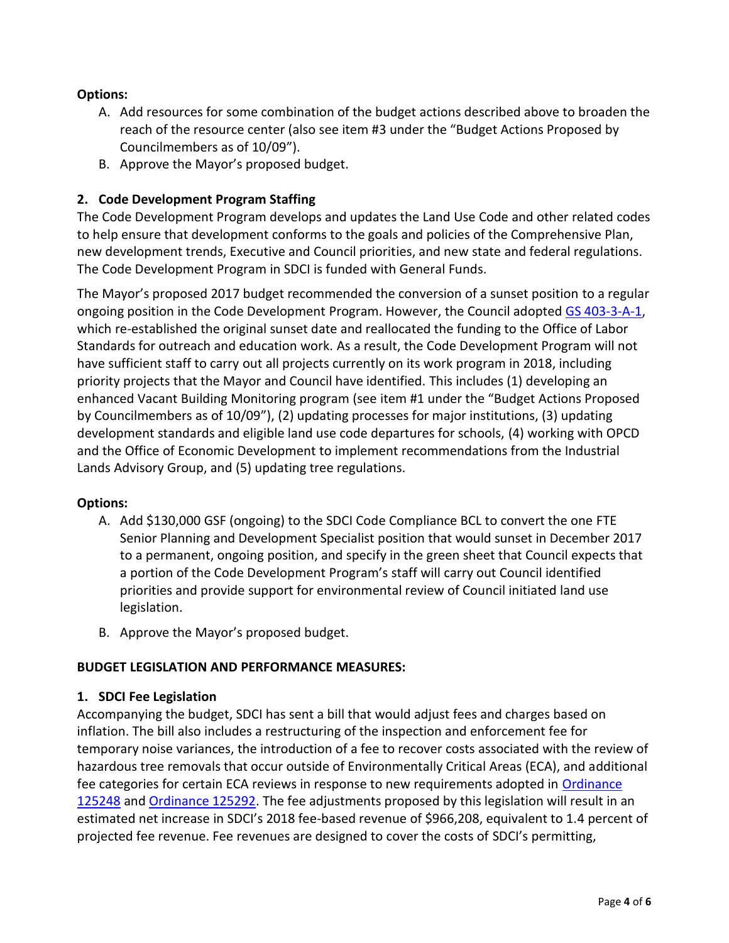## **Options:**

- A. Add resources for some combination of the budget actions described above to broaden the reach of the resource center (also see item #3 under the "Budget Actions Proposed by Councilmembers as of 10/09").
- B. Approve the Mayor's proposed budget.

## **2. Code Development Program Staffing**

The Code Development Program develops and updates the Land Use Code and other related codes to help ensure that development conforms to the goals and policies of the Comprehensive Plan, new development trends, Executive and Council priorities, and new state and federal regulations. The Code Development Program in SDCI is funded with General Funds.

The Mayor's proposed 2017 budget recommended the conversion of a sunset position to a regular ongoing position in the Code Development Program. However, the Council adopted [GS 403-3-A-1,](https://seattle.legistar.com/LegislationDetail.aspx?ID=2892417&GUID=AF4568F3-D198-4239-8472-C260C06DFA1A&Options=Advanced&Search=) which re-established the original sunset date and reallocated the funding to the Office of Labor Standards for outreach and education work. As a result, the Code Development Program will not have sufficient staff to carry out all projects currently on its work program in 2018, including priority projects that the Mayor and Council have identified. This includes (1) developing an enhanced Vacant Building Monitoring program (see item #1 under the "Budget Actions Proposed by Councilmembers as of 10/09"), (2) updating processes for major institutions, (3) updating development standards and eligible land use code departures for schools, (4) working with OPCD and the Office of Economic Development to implement recommendations from the Industrial Lands Advisory Group, and (5) updating tree regulations.

#### **Options:**

- A. Add \$130,000 GSF (ongoing) to the SDCI Code Compliance BCL to convert the one FTE Senior Planning and Development Specialist position that would sunset in December 2017 to a permanent, ongoing position, and specify in the green sheet that Council expects that a portion of the Code Development Program's staff will carry out Council identified priorities and provide support for environmental review of Council initiated land use legislation.
- B. Approve the Mayor's proposed budget.

#### **BUDGET LEGISLATION AND PERFORMANCE MEASURES:**

#### **1. SDCI Fee Legislation**

Accompanying the budget, SDCI has sent a bill that would adjust fees and charges based on inflation. The bill also includes a restructuring of the inspection and enforcement fee for temporary noise variances, the introduction of a fee to recover costs associated with the review of hazardous tree removals that occur outside of Environmentally Critical Areas (ECA), and additional fee categories for certain ECA reviews in response to new requirements adopted in Ordinance [125248](https://seattle.legistar.com/LegislationDetail.aspx?ID=2876308&GUID=A6AA529C-F522-4816-8078-E5D5FE48D346&Options=Advanced&Search=) and [Ordinance 125292.](https://seattle.legistar.com/LegislationDetail.aspx?ID=3011261&GUID=A874E47F-BAAA-49F7-A605-0A989BF5F0A6&Options=Advanced&Search=) The fee adjustments proposed by this legislation will result in an estimated net increase in SDCI's 2018 fee-based revenue of \$966,208, equivalent to 1.4 percent of projected fee revenue. Fee revenues are designed to cover the costs of SDCI's permitting,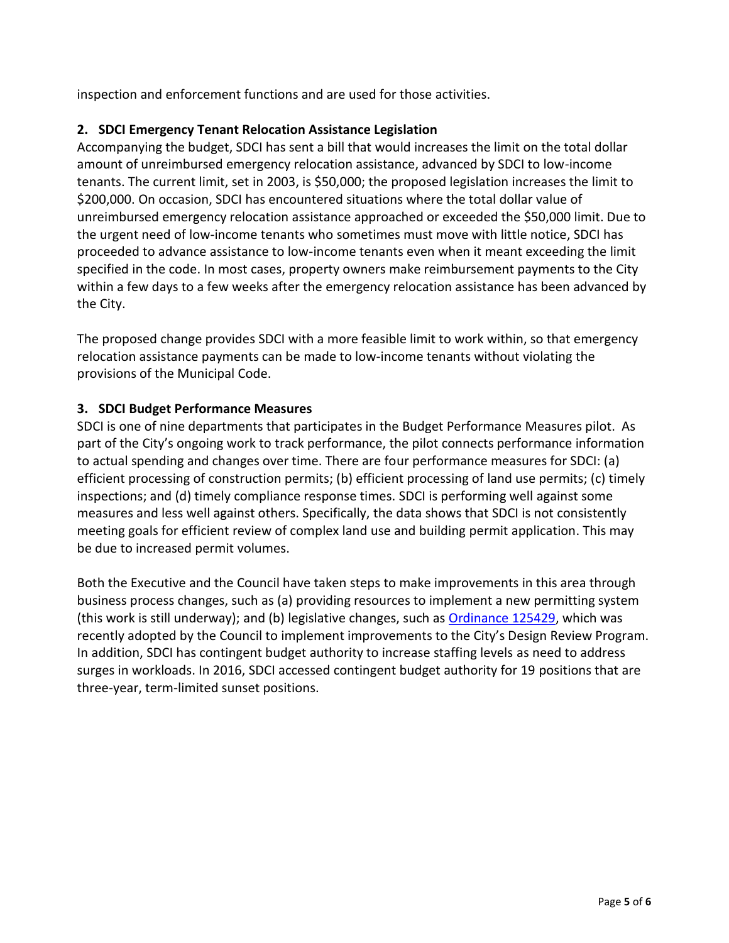inspection and enforcement functions and are used for those activities.

## **2. SDCI Emergency Tenant Relocation Assistance Legislation**

Accompanying the budget, SDCI has sent a bill that would increases the limit on the total dollar amount of unreimbursed emergency relocation assistance, advanced by SDCI to low-income tenants. The current limit, set in 2003, is \$50,000; the proposed legislation increases the limit to \$200,000. On occasion, SDCI has encountered situations where the total dollar value of unreimbursed emergency relocation assistance approached or exceeded the \$50,000 limit. Due to the urgent need of low-income tenants who sometimes must move with little notice, SDCI has proceeded to advance assistance to low-income tenants even when it meant exceeding the limit specified in the code. In most cases, property owners make reimbursement payments to the City within a few days to a few weeks after the emergency relocation assistance has been advanced by the City.

The proposed change provides SDCI with a more feasible limit to work within, so that emergency relocation assistance payments can be made to low-income tenants without violating the provisions of the Municipal Code.

## **3. SDCI Budget Performance Measures**

SDCI is one of nine departments that participates in the Budget Performance Measures pilot. As part of the City's ongoing work to track performance, the pilot connects performance information to actual spending and changes over time. There are four performance measures for SDCI: (a) efficient processing of construction permits; (b) efficient processing of land use permits; (c) timely inspections; and (d) timely compliance response times. SDCI is performing well against some measures and less well against others. Specifically, the data shows that SDCI is not consistently meeting goals for efficient review of complex land use and building permit application. This may be due to increased permit volumes.

Both the Executive and the Council have taken steps to make improvements in this area through business process changes, such as (a) providing resources to implement a new permitting system (this work is still underway); and (b) legislative changes, such a[s Ordinance 125429,](https://seattle.legistar.com/LegislationDetail.aspx?ID=3127226&GUID=494160C8-AEA0-4C45-AD08-E7DC75FE9D44&Options=Advanced&Search=) which was recently adopted by the Council to implement improvements to the City's Design Review Program. In addition, SDCI has contingent budget authority to increase staffing levels as need to address surges in workloads. In 2016, SDCI accessed contingent budget authority for 19 positions that are three-year, term-limited sunset positions.